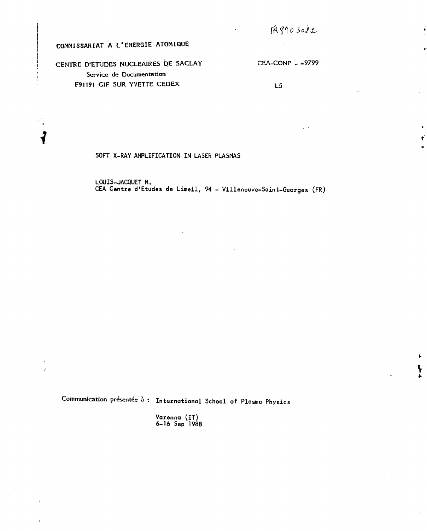# COMMISSARIAT A L'ENERGIE ATOMIQUE

i

 $\mathcal{L}_{\mathcal{A}}$ 

CENTRE D'ETUDES NUCLEAIRES DE SACLAY CEA-CONF - -9799 Service de Documentation F91191 GIF SUR YVETTE CEDEX<br>L5

SOFT X-RAY AMPLIFICATION IN LASER PLASMAS

LOUIS-JACQUET M. CEA Centre d'Etudes de Limeil, 94 - Villeneuve-Saint-Georges (FR)

Communication présentée à : International School of Plasma Physics

Varenna (IT) 6-16 Sep 1988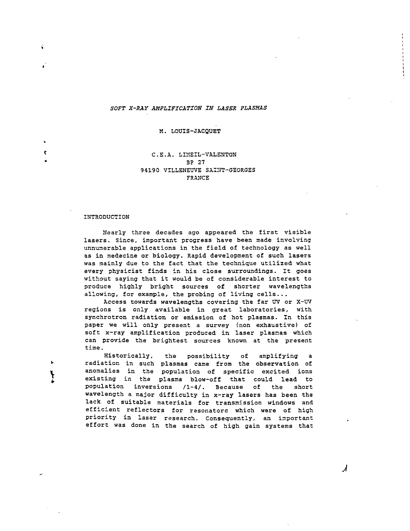# 50F7 *X-RAY AMPLIFICATION IN LASER PLASMAS*

M. LOUIS-JACQUET

# C.E.A. LIMEIL-VALENTON 3P 27 94190 VILLENEUVE SAINT-GEORGES FRANCE

### INTRODUCTION

Nearly three decades ago appeared the first visible lasers. Since, important progress have been made involving unnunerable applications in the field of technology as well as in medecine or biology. Rapid development of such lasers was mainly due to the fact that the technique utilized what every physicist finds in his close surroundings. It goes without saying that it would be of considerable interest to produce highly bright sources of shorter wavelengths allowing, for example, the probing of living cells...

Access towards wavelengths covering the far UV or X-UV regions is only available in great laboratories, with synchrotron radiation or emission of hot plasmas. In this paper we will only present a survey (non exhaustive) of soft x-ray amplification produced in laser plasmas which can provide the brightest sources known at the present time.

Historically, the possibility of amplifying radiation in such plasmas came from the observation of anomalies in the population of specific excited ions existing in the plasma blow-off that could lead to population inversions /1-4/. Because of the short wavelength a major difficulty in x-ray lasers has been the lack of suitable materials for transmission windows and efficient reflectors for resonators which were of high priority in laser research. Consequently, an important effort was done in the search of high gain systems that

**J**

ŵ

ŧ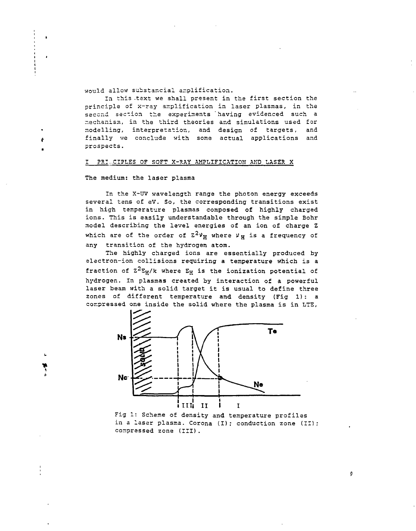would allow substancial amplification.

In this text we shall present in the first section the principle of x-ray amplification in laser plasmas, in the seccnd sac-ion the experiments having evidenced such a -echanism, in the third theories and simulations used for modelling, interpretation, and design of targets, and finally we conclude with some actual applications and prospects.

### 1 ?R:..CIPLES OF SOFT X-RAY AMPLIFICATION AND LASER X

The medium: the laser plasma

In the X-UV wavelength range the photon energy exceeds several tens of eV. So, the corresponding transitions exist in high temperature plasmas composed of highly charged ions. This is easily understandable through the simple Bohr model describing the level energies of an ion of charge Z which are of the order of  $Z^2v_H$  where  $v_H$  is a frequency of any transition of the hydrogen atom.

The highly charged ions are essentially produced by electron-ion collisions requiring a temperature which is a fraction of  $z^2s_H/k$  where  $s_H$  is the ionization potential of hydrogen. In plasmas created by interaction of a powerful laser beam with a solid target it is usual to define three zones of different temperature and density (Fig 1): a compressed one inside the solid where the plasma is in LTS,



Fig 1: Scheme of density and temperature profiles in a laser plasma. Corona (I); conduction zone (II); compressed zone (III).

 $\boldsymbol{0}$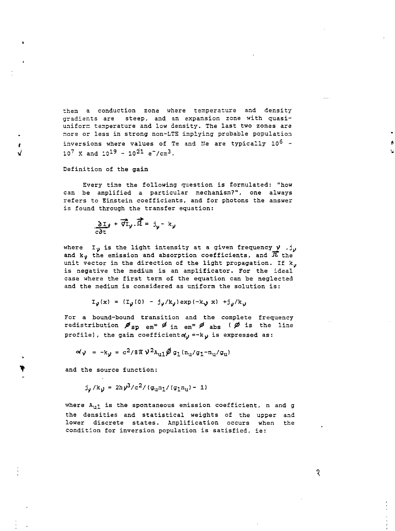then a conduction zone where temperature and density gradients are steep, and an expansion zone with quasiuniform temperature and low density. The last two zones are more or less in strong non-LTS implying probable population inversions where values of Te and Ne are typically  $10^6$  - $10^7$  K and  $10^{19}$  -  $10^{21}$  e<sup>-</sup>/cm<sup>3</sup>. under de la companyation de la companyation de la companyation de la companyation de la companyation de la com

Definition of the gain

 $\mathbf{f}$ 

Every time the following question is formulated: "how can be amplified a particular mechanism?", one always refers to Einstein coefficients, and for photons the answer is found through the transfer equation:

$$
\frac{\partial \mathbf{I}_{\mathbf{y}}}{\partial \mathbf{t}} + \overrightarrow{\mathbf{v}} \mathbf{I}_{\mathbf{y}} \cdot \overrightarrow{\mathbf{\Omega}} = \mathbf{J}_{\mathbf{y}} - \mathbf{k}_{\mathbf{y}}
$$

where I<sub>v</sub> is the light intensity at a given frequency  $\gamma$ ,  $j_{y}$ and  $k_y$  the emission and absorption coefficients, and  $\overline{K}$  the unit vector in the direction of the light propagation. If k. is negative the medium is an amplificator. For the ideal case where the first term of the equation can be neglected and the medium is considered as uniform the solution is:

$$
I_{\nu}(x) = (I_{\nu}(0) - j_{\nu}/k_{\nu}) \exp(-k_{\nu} x) + j_{\nu}/k_{\nu}
$$

For a bound-bound transition and the complete frequency redistribution  $\mathscr{I}_{sp}$  em<sup>=</sup>  $\mathscr{I}_{in}$  em<sup>=</sup>  $\mathscr{I}_{abs}$  ( $\mathscr{D}$  is the line profile), the gain coefficient $\alpha'$  =-k  $\gamma$  is expressed as:

$$
\alpha' \mathbf{v} = -\mathbf{k}_{\mathbf{y}} = c^2 / 8 \pi \mathbf{v}^2 \mathbf{A}_{\mathbf{u}1} \hat{\mathbf{p}} \mathbf{g}_1 (\mathbf{n}_{\mathbf{u}} / \mathbf{g}_1 - \mathbf{n}_{\mathbf{u}} / \mathbf{g}_{\mathbf{u}})
$$

and the source function:

$$
j_y / k_y = 2h y^3 / c^2 / (g_{u} n_1 / (g_1 n_u) - 1)
$$

where  $A_{u1}$  is the spontaneous emission coefficient, n and g the densities and statistical weights of the upper and lower discrete states. Amplification occurs when the condition for inversion population is satisfied, ie:

ৃ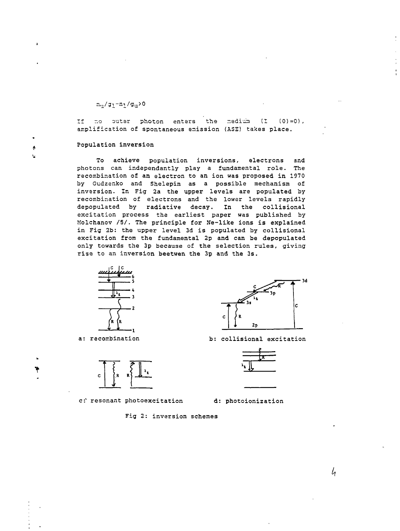$n_{11}/g_1 - n_1/g_{11} > 0$ 

If no outer photon enters the medium  $(I \t(0)=0)$ , amplification of spontaneous emission (ASS) takes place.

Population inversion

 $\boldsymbol{\delta}$ 

 $\ddagger$ 

To achieve population inversions, electrons and photons can independantly play a fundamental role. The recombination of an electron to an ion was proposed in 1970 by Gudzenko and Shelepin as a possible mechanism of inversion. In Fig 2a the upper levels are populated by recombination of electrons and the lower levels rapidly depopulated by radiative decay. In the collisional excitation process the earliest paper was published by Molchanov /5/. The principle for Ne-like ions is explained in Fig 2b: the upper level 3d is populated by collisional excitation from the fundamental 2p and can be depopulated only towards the 3p because of the selection rules, giving rise to an inversion beetwen the 3p and the 3s.





c: resonant photoexcitation d: photoionization



a: recombination b: collisional excitation



Fig 2: inversion schemes

h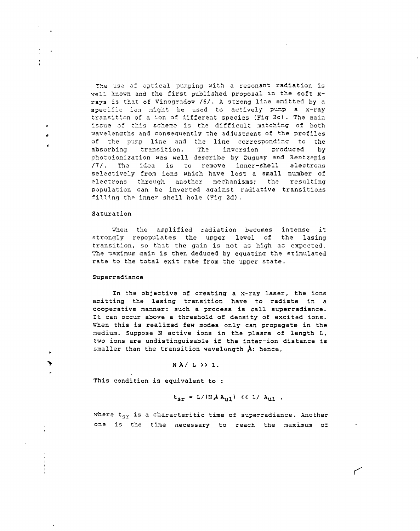The use of optical pumping with a resonant radiation is well known and the first published proposal in the soft xrays is that of Vinogradov /6/. A strong line emitted by a specific ion might be used to actively pump a x-ray transition of a ion of different species (Fig 2c). The nain issue of this scheme is the difficult matching of both wavelengths and consequently the adjustment of the profiles of the pump line and the line corresponding to the absorbing transition. The inversion produced by photoionization was well describe by Duguay and Rentzepis II/. The idea is to remove inner-shell electrons selectively from ions which have lost a small number of electrons through another mechanisms; the resulting population can be inverted against radiative transitions filling the inner shell hole (Fig 2d).

### Saturation

When the amplified radiation becomes intense it strongly repopulates the upper level of the lasing transition, so that the gain is not as high as expected. The maximum gain is then deduced by equating the stimulated rate to the total exit rate from the upper state.

# Superradiance

4

In the objective of creating a x-ray laser, the ions emitting the lasing transition have to radiate in a cooperative manner: such a process is call superradiance. It can occur above a threshold of density of excited ions. When this is realized few modes only can propagate in the medium. Suppose N active ions in the plasma of length L, two ions are undistinguisable if the inter-ion distance is smaller than the transition wavelength  $\lambda$ : hence,

# $N$  $\lambda$ / L  $\lambda$  1.

This condition is equivalent to :

$$
t_{sr} = L/(N \lambda A_{u1}) \ll 1 / A_{u1}.
$$

where  $t_{sr}$  is a characteritic time of superradiance. Another one is the time necessary to reach the maximum of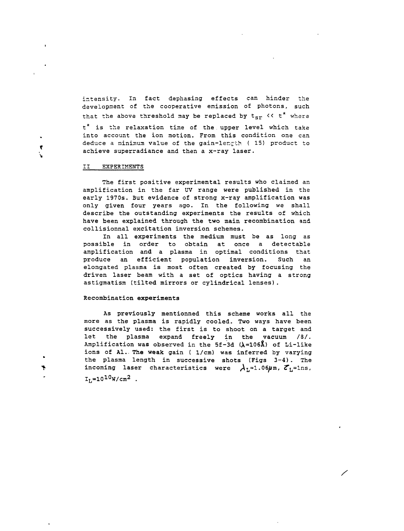intensity. In fact dephasing effects can hinder the development of the cooperative emission of photons, such that the above threshold may be replaced by  $t_{\text{spr}} \ll t^*$  where t\* is the relaxation time of the. upper level which take into account the ion motion. From this condition one can deduce a minimum value of the gain-length ( 15) product to achieve superradiance and then a x-ray laser.

### II EXPERIMENTS

 $\pmb{\tau}$ 

The first positive experimental results who claimed an amplification in the far UV range were published in the early 1970s. But evidence of strong x-ray amplification was only given four years ago. In the following we shall describe the outstanding experiments the results of which have been explained through the two main recombination and collisionnal excitation inversion schemes.

In all experiments the medium must be as long as possible in order to obtain at once a detectable amplification and a plasma in optimal conditions that produce an efficient population inversion. Such an elongated plasma is most often **created** by focusing the driven laser beam with a set of optics having a strong astigmatism (tilted mirrors or cylindrical lenses).

# **Recombination experiments**

As previously mentionned this scheme works all the more as the plasma is rapidly cooled. Two ways have been successively used: the first is **to** shoot on a target and let the plasma expand freely in the vacuum /8/. Amplification was observed in the  $5f-3d$  ( $\lambda=106\AA$ ) of Li-like ions of Al.. The **weak** gain ( 1/cm) was inferred by varying the plasma length in successive shots (Figs 3-4) . The incoming laser characteristics were  $\lambda_L=1.06\mu$ m,  $\mathcal{E}_L=1$ ns,  $I_L = 10^{10} W/cm^2$ .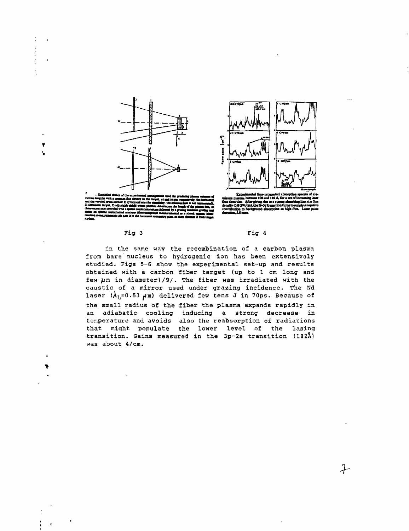



# **flusduaitiM.** density (0.6 GW/cm), the **5 coooibuUoB to tekmiiad tbawpdo» al bilk Ihn.**

 $\mathcal{F}$ 

**Ni**

# Fig 3 Fig 4

In the same way the recombination of a carbon plasma from bara nucleus to hydrogenic ion has been extensively studied. Figs 5-6 show the experimental set-up and results obtained with a carbon fiber target (up to 1 cm long and few  $\mu$ m in diameter)/9/. The fiber was irradiated with the caustic of a mirror used under grazing incidence. The Nd laser  $(\lambda_L=0.53 \mu m)$  delivered few tens J in 70ps. Because of the small radius of the fiber the plasma expands rapidly in an adiabatic cooling inducing a strong decrease in temperature and avoids also the reabsorption of radiations that might populate the lower level of the lasing transition. Gains measured in the 3p-2s transition  $(182\text{\AA})$ was about 4/cm.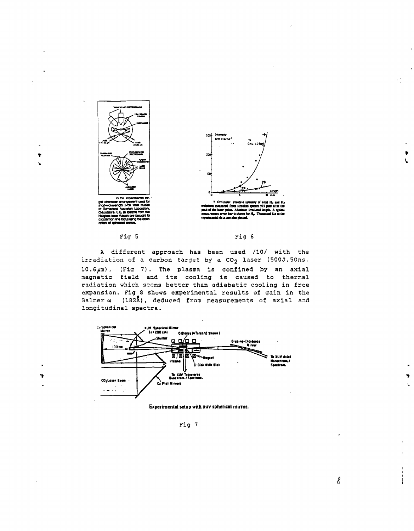

۲



 $\begin{array}{c} \text{course} \quad \text{absolute identity of initial H}_n \text{ and H}_n \\ \text{emission generated from vertical system 975 one after the peak of the laser pulse. A because irradiated length. A typical networks error bar is chosen for H}_n \text{ Theoretical flux to the experimental data are also plotted.} \end{array}$ 





A different approach has been used /10/ with the irradiation of a carbon target by a CO<sub>2</sub> laser (500J,50ns, 10.6pm), (Fig 7). The plasma is confined by an axial magnetic field and its cooling is caused to thermal radiation which seems better than adiabatic cooling in free expansion. Fig 8 shows experimental results of gain in the  $3a1$ mer  $\alpha$  (182Å), deduced from measurements of axial and longitudinal spectra.



Experimental setup with xuv spherical mirror.

Fig 7

ď

 $\overline{a}$ 

 $\bullet$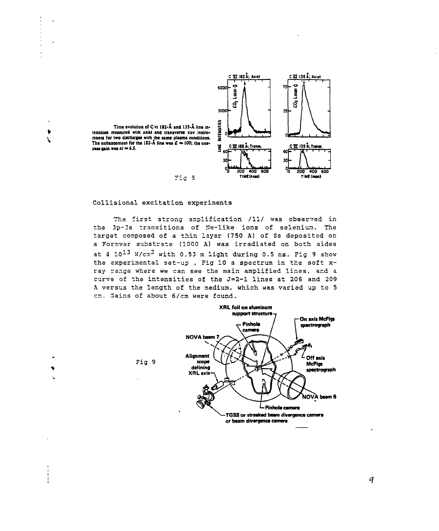

Time evolution of CVI 182-Å and 135-Å line intensities measured with axial and transverse xuv instruments for two discharges with the same plasma conditions. The enhancement for the 182-A line was  $E \approx 100$ ; the onepass gain was  $kl = 6.5$ .

 $\bullet$ 

**V** 

 $\bullet$ 

# Collisional excitation experiments

 $F^{\pm}$ g 3

The first strong amplification /11/ was observed in the 3p-3s transitions of Ne-like ions of selenium. The target composed of a thin layer (750 A) of Se deposited on a Formvar substrate (1000 A) was irradiated on both sides at 4  $10^{13}$  W/cm<sup>2</sup> with 0.53 m light during 0.5 ns. Fig 9 show the experimental set-up, Fig 10 a spectrum in the soft xray range where we can see the main amplified lines, and a curve of the intensities of the J=2-1 lines at 206 and 209 A versus the length of the medium, which was varied up to 5 cm. Gains of about 6/cm were found.



 $\boldsymbol{q}$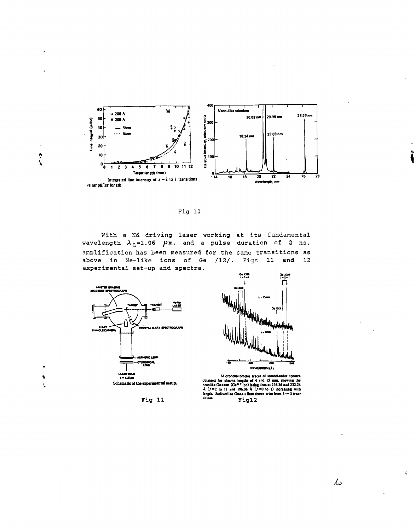

Fig 10

With a Md driving laser working at its fundamental wavelength  $\lambda_L=1.06$   $\mu$ m, and a pulse duration of 2 ns, amplification has been measured for the same transitions as above in Ne-like ions of Ge /12/. Figs 11 and 12 experimental set-up and spectra.



 $\ddot{\ddot{\zeta}}$ 

Fig 11



Microdensitometer traces of second-order spectra<br>obtained for plasma lengths of 4 and 15 mm, showing the<br>neonlike Gexxiii (Ge<sup>12+</sup> ion) lating lines at 236.26 and 32324<br>A  $(J=2 \text{ to } 1)$  and 196.06 A  $(J=0 \text{ to } 1)$  increasin Fig12

 $\mathcal{L}$ 

 $\vec{q}_j$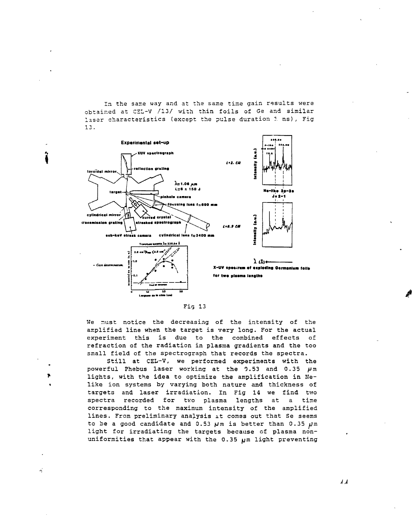In the same way and at the same time gain results were obtained at CEL-V /13/ with thin foils of Ge and similar laser characteristics (except the pulse duration 1 ns), Fig  $13.$ 



 $Fig. 13$ 

We must notice the decreasing of the intensity of the amplified line when the target is very long. For the actual experiment this is due to the combined effects of refraction of the radiation in plasma gradients and the too small field of the spectrograph that records the spectra.

Still at CEL-V, we performed experiments with the powerful Phebus laser working at the 0.53 and 0.35  $\mu$ m lights, with the idea to optimize the amplification in Nelike ion systems by varying both nature and thickness of targets and laser irradiation. In Fig 14 we find two spectra recorded for two plasma lengths at a time corresponding to the maximum intensity of the amplified lines. From preliminary analysis it comes out that Se seems to be a good candidate and 0.53  $\mu$ m is better than 0.35  $\mu$ m light for irradiating the targets because of plasma nonuniformities that appear with the 0.35 um light preventing

 $\lambda$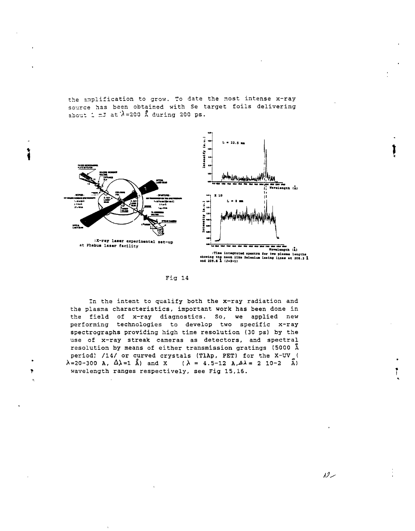the amplification to grow. To date the most intense x-ray source has been obtained with Se target foils delivering about 1 mJ at  $\lambda$ =200 Å during 200 ps.



# Fig 14

In the intent to qualify both the x-ray radiation and the plasma characteristics, important work has been done in the field of x-ray diagnostics. So, we applied new performing technologies to develop two specific x-ray spectrographs providing high time resolution (30 ps) by the use of x-ray streak cameras as detectors, and spectral resolution by means of either transmission gratings (5000 Å period) /14/ or curved crystals (TlAp, PET) for the X-UV (  $\lambda = 20 - 300$  A,  $\Delta \lambda = 1$   $\lambda$  and X ( $\lambda = 4.5 - 12$  A,  $\Delta \lambda = 2$  10-2  $\lambda$ ) wavelength ranges respectively, see Fig 15,16.

سردړ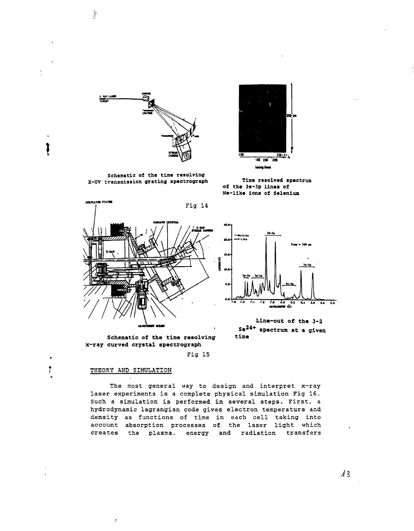

**Time resolved spectrum of the** 3s-3p **lines of He-like ions of Selenium**



*\*

 $\mathbf{r}$ 

 $\mathcal{I}^{\mathcal{I}}$ 

Schematic of **the time** resolving X-UV transmission **grating spectrograph**





**Lina-out of the 3-2 S e2 4 <sup>+</sup> spectrum at a given**

**Schematic of the time resolving time x-ray curved crystal spectrograph**

Fig 15

### THEORY AND SIMULATION

The most general way to design and interpret x-ray laser experiments is a complete physical simulation Fig 16. Such a simulation is performed in several steps. First, a hydrodynamic lagrangian code gives electron temperature and density as functions of time in each cell taking into account absorption processes of the laser light which creates the plasma, energy and radiation transfers

//3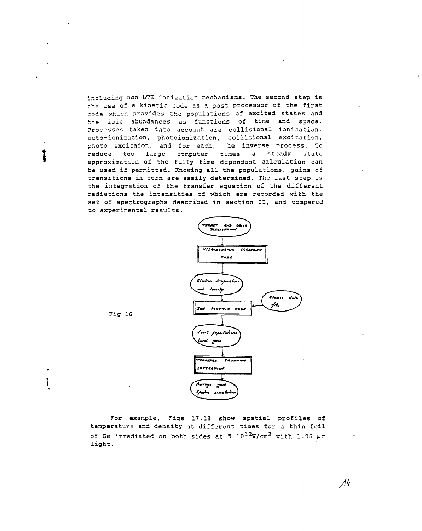including non-LTE ionization mechanisms. The second step is tha use of a kinetic code as a post-processor of the first coda which providas the populations of excited states and the ioic abundances as functions of time and space. Processes taken into account are • collisional ionization, auto-ionization, photoionization, collisional excitation, photo excitaion, and for each, he inverse process. To reduce too large computer times a steady state approximation of the fully time dependant calculation can be used if permitted. Knowing all the populations, gains of transitions in corn are easily determined. The last step is the integration of the transfer equation of the different radiations the intensities of which are recorded with the set of spectrographs described in section II, and compared to experimental results.



Fig 16

\

For example, Figs 17,18 show spatial profiles of temperature and density at different times for a thin foil of Ge irradiated on both sides at 5  $10^{12}$ W/cm<sup>2</sup> with 1.06  $\mu$ m light.

 $\mathcal{N}^{\mathcal{L}}$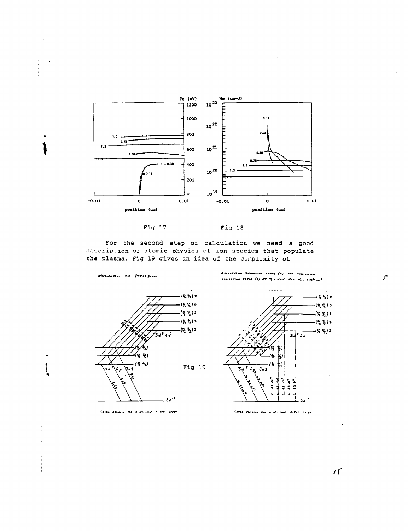





For the second step of calculation we need a good description of atomic physics of ion species that populate the plasma. Fig 19 gives an idea of the complexity of



LEVEL SCHEME THE R NILLING KITRY LEECH

SPANTEMENTS RABIATIVE RATES (A) AND COLLEGNAL EILITATION RATES (C) AT  $\tau_i$  , that and  $\lambda'_i$  , the  $\omega_i$ 



Level senang ma a N. Und X-tay Lases

 $15$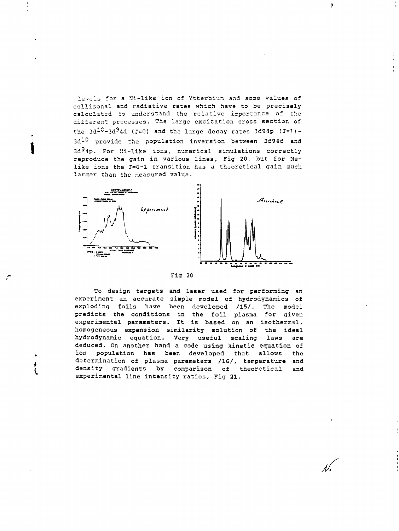levels for a Ni-like ion of Ytterbium, and some values of collisonal and radiative rates which have to be precisely calculated to understand the relative importance of the different processes. The large excitation cross section of the  $3d^2-3d^94d$  (J=0) and the large decay rates 3d94p (J=1)- $3d<sup>10</sup>$  provide the population inversion between 3d94d and 3d<sup>9</sup>4p. For Ni-like ions, numerical simulations correctly reproduce the gain in various lines, Fig 20, but for Nelike ions the J=O-I transition has a theoretical gain much larger than the measured value.

 $\ddot{\phantom{a}}$ 



Fig 20

To design targets and laser used for performing an experiment an accurate simple model of hydrodynamics of exploding foils have been developed /15/. The model predicts the conditions in the foil plasma for given experimental parameters. It is based on an isothermal, homogeneous expansion similarity solution of the ideal hydrodynamic equation. Very useful scaling laws are deduced. On another hand a code using kinetic equation of ion population has been developed that allows the determination of plasma parameters /16/, temperature and density gradients by comparison of theoretical and experimental line intensity ratios, Fig 21.

Л,

 $\boldsymbol{g}$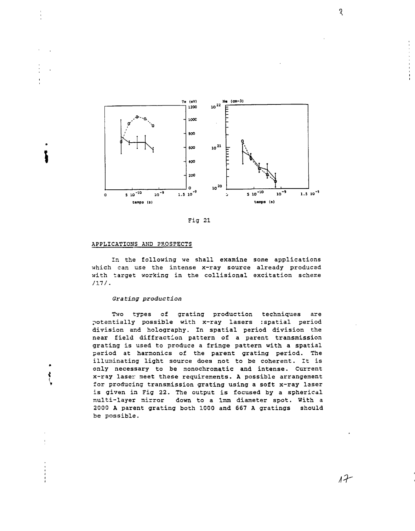



# APPLICATIONS AND PROSPECTS

 $\ddot{\phantom{0}}$ 

ķ

In the following we shall examine some applications which can use the intense x-ray source already produced with target working in the collisional excitation scheme /17/.

# Grating production

Two types of grating production techniques are potentially possible with x-ray lasers : spatial period division and holography. In spatial period division the near field diffraction pattern of a parent transmission grating is used to produce a fringe pattern with a spatial period at harmonics of the parent grating period. The illuminating light source does not to be coherent. It is only necessary to be monochromatic and intense. Current x-ray laser meet these requirements. A possible arrangement for producing transmission grating using a soft x-ray laser is given in Fig 22. The output is focused by a spherical multi-layer mirror down to a lmm diameter spot. With a 2000 A parent grating both 1000 and 667 A gratings should be possible.

 $\overline{Q}$ 

 $17$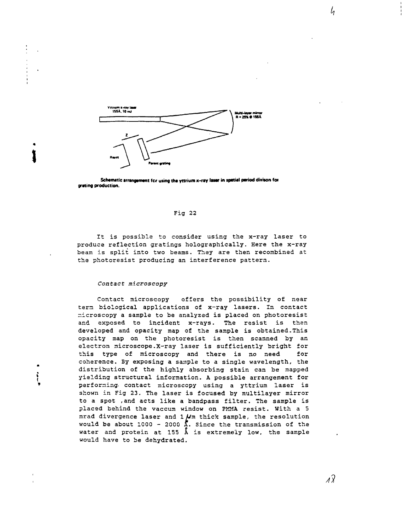

Schematic arrangement for using the yttrium x-ray laser in spatial period divison for **grating production.**

# Fig 22

It is possible to consider using the x-ray laser to produce reflection gratings holographically. Here the x-ray beam is split into two beams. They are then recombined at the photoresist producing an interference pattern.

# Contact microscopy

**\**

Contact microscopy offers the possibility of near tern biological applications of x-ray lasers. In contact microscopy a sample to be analyzed is placed on photoresist and exposed to incident x-rays. The resist is than developed and opacity map of the sample is obtained.This opacity map on the photoresist is then scanned by an electron microscope.X-ray laser is sufficiently bright for this type of microscopy and there is no need for coherence. 3y exposing a sample to a single wavelength, the distribution of the highly absorbing stain can be mapped yielding structural information. A possible arrangement for performing- contact microscopy using a yttrium laser is shown in Fig 23. The laser is focused by multilayer mirror to a spot ,and acts like a bandpass filter. The sample is placed behind the vaccum window on PMMA resist. With a 5 mrad divergence laser and  $1 \mu$ m thick sample, the resolution would be about 1000 - 2000  $\frac{1}{2}$ . Since the transmission of the water and protein at 155 A is extremely low, the sample would have to be dehydrated.

h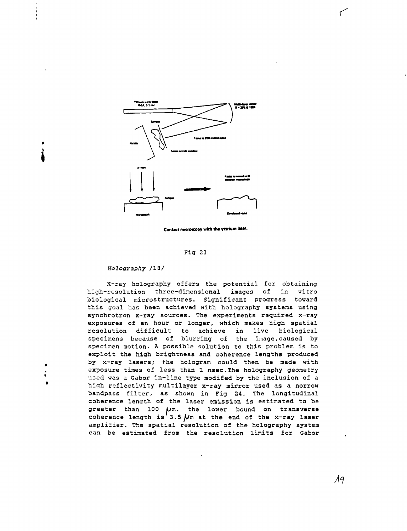

**Contact microscopy with the yttrium laser** 

### Fig 23

## Holography /18/

X-ray holography offers the potential for obtaining high-resolution three-dimensional images of in vitro biological microstructures. Significant progress toward this goal has been achieved with holography systems using synchrotron x-ray sources. The experiments required x-ray exposures of an hour or longer, which makes high spatial resolution difficult to achieve in live biological specimens because of blurring of the image,caused by specimen motion. A possible solution to this problem is to exploit the high brightness and coherence lengths produced by x-ray lasers; the hologram could then be made with exposure times of less than 1 nsec.The holography geometry used was a Gabor in-line type modifed by the inclusion of a high reflectivity multilayer x-ray mirror used as a norrow bandpass filter, as shown in Fig 24. The longitudinal coherence length of the laser emission is estimated to be greater than  $100 \mu m$ . the lower bound on transverse coherence length is  $3.5 \mu$ m at the end of the x-ray laser amplifier. The spatial resolution of the holography system can be estimated from the resolution limits for Gabor ستسم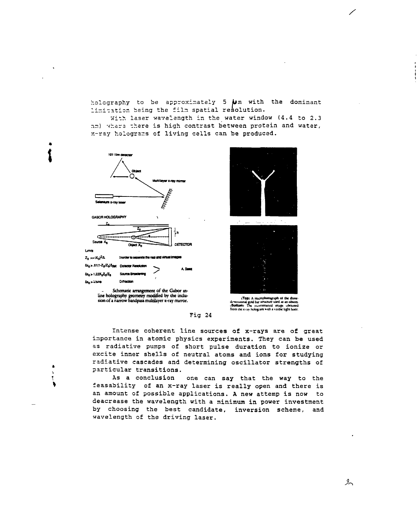holography to be approximately 5 /wm with the dominant limitation being the film spatial resolution.

With laser wavelength in the water window (4.4 to 2.3 nm) where there is high contrast between protein and water, x-ray holograms of living cells can be produced.



line holography geometry modified by the inclusion of a narrow bandpass multilayer x-ray murror.





(Top) A marophotograph of the three-<br>dimensional gold bar structure used as an obsect.<br>(Bottom) The reconstructed image inbraned<br>from the x-ray hologram with a visible light laser.

Intense coherent line sources of x-rays are of great importance in atomic physics experiments. They can be used as radiative pumps of short pulse duration to ionize or excite inner shells of neutral atoms and ions for studying radiative cascades and determining oscillator strengths of particular transitions.

Fig 24

As a conclusion one can say that the way to the feasability of an x-ray laser is really open and there is an amount of possible applications. A new attemp is now to deacrease the wavelength with a minimum in power investment by choosing the best candidate, inversion scheme, and wavelength of the driving laser.

グ